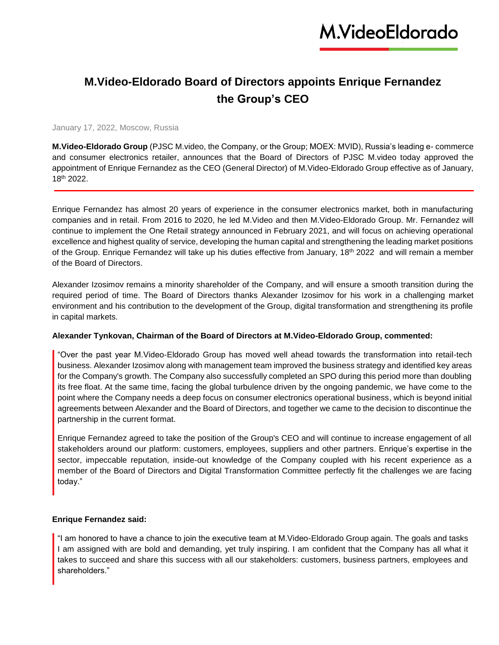## **M.Video-Eldorado Board of Directors appoints Enrique Fernandez the Group's CEO**

### January 17, 2022, Moscow, Russia

**M.Video-Eldorado Group** (PJSC M.video, the Company, or the Group; MOEX: MVID), Russia's leading e- commerce and consumer electronics retailer, announces that the Board of Directors of PJSC M.video today approved the appointment of Enrique Fernandez as the CEO (General Director) of M.Video-Eldorado Group effective as of January, 18th 2022.

Enrique Fernandez has almost 20 years of experience in the consumer electronics market, both in manufacturing companies and in retail. From 2016 to 2020, he led M.Video and then M.Video-Eldorado Group. Mr. Fernandez will continue to implement the One Retail strategy announced in February 2021, and will focus on achieving operational excellence and highest quality of service, developing the human capital and strengthening the leading market positions of the Group. Enrique Fernandez will take up his duties effective from January, 18th 2022 and will remain a member of the Board of Directors.

Alexander Izosimov remains a minority shareholder of the Company, and will ensure a smooth transition during the required period of time. The Board of Directors thanks Alexander Izosimov for his work in a challenging market environment and his contribution to the development of the Group, digital transformation and strengthening its profile in capital markets.

### **Alexander Tynkovan, Chairman of the Board of Directors at M.Video-Eldorado Group, commented:**

"Over the past year M.Video-Eldorado Group has moved well ahead towards the transformation into retail-tech business. Alexander Izosimov along with management team improved the business strategy and identified key areas for the Company's growth. The Company also successfully completed an SPO during this period more than doubling its free float. At the same time, facing the global turbulence driven by the ongoing pandemic, we have come to the point where the Company needs a deep focus on consumer electronics operational business, which is beyond initial agreements between Alexander and the Board of Directors, and together we came to the decision to discontinue the partnership in the current format.

Enrique Fernandez agreed to take the position of the Group's CEO and will continue to increase engagement of all stakeholders around our platform: customers, employees, suppliers and other partners. Enrique's expertise in the sector, impeccable reputation, inside-out knowledge of the Company coupled with his recent experience as a member of the Board of Directors and Digital Transformation Committee perfectly fit the challenges we are facing today."

### **Enrique Fernandez said:**

"I am honored to have a chance to join the executive team at M.Video-Eldorado Group again. The goals and tasks I am assigned with are bold and demanding, yet truly inspiring. I am confident that the Company has all what it takes to succeed and share this success with all our stakeholders: customers, business partners, employees and shareholders."